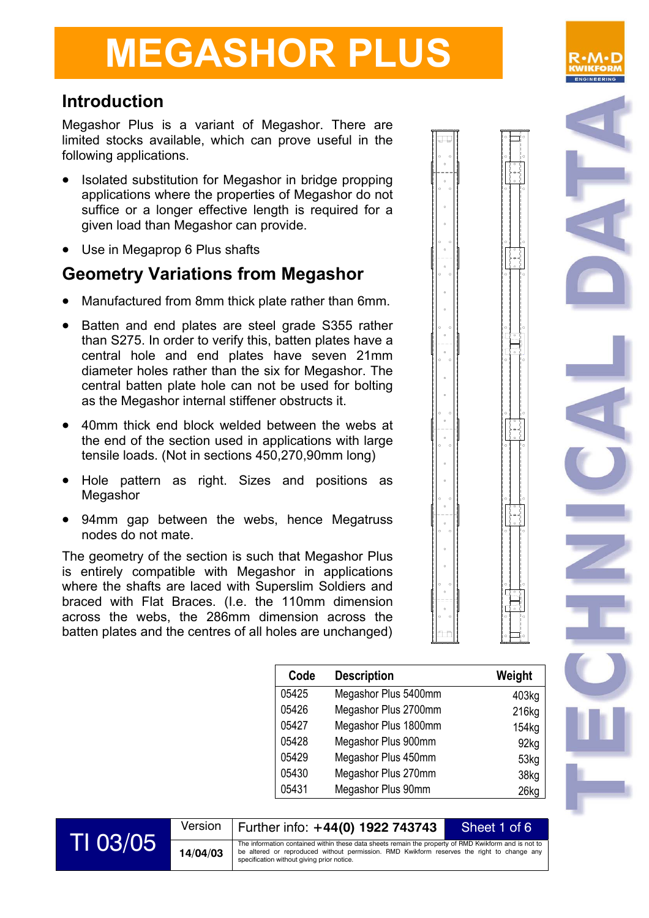## **Introduction**

Megashor Plus is a variant of Megashor. There are limited stocks available, which can prove useful in the following applications.

- Isolated substitution for Megashor in bridge propping applications where the properties of Megashor do not suffice or a longer effective length is required for a given load than Megashor can provide.
- Use in Megaprop 6 Plus shafts

## **Geometry Variations from Megashor**

- Manufactured from 8mm thick plate rather than 6mm.
- Batten and end plates are steel grade S355 rather than S275. In order to verify this, batten plates have a central hole and end plates have seven 21mm diameter holes rather than the six for Megashor. The central batten plate hole can not be used for bolting as the Megashor internal stiffener obstructs it.
- 40mm thick end block welded between the webs at the end of the section used in applications with large tensile loads. (Not in sections 450,270,90mm long)
- Hole pattern as right. Sizes and positions as **Megashor**
- 94mm gap between the webs, hence Megatruss nodes do not mate.

The geometry of the section is such that Megashor Plus is entirely compatible with Megashor in applications where the shafts are laced with Superslim Soldiers and braced with Flat Braces. (I.e. the 110mm dimension across the webs, the 286mm dimension across the batten plates and the centres of all holes are unchanged)

| Code  | <b>Description</b>   | Weight            |
|-------|----------------------|-------------------|
| 05425 | Megashor Plus 5400mm | 403kg             |
| 05426 | Megashor Plus 2700mm | 216kg             |
| 05427 | Megashor Plus 1800mm | 154 <sub>kg</sub> |
| 05428 | Megashor Plus 900mm  | 92kg              |
| 05429 | Megashor Plus 450mm  | 53kg              |
| 05430 | Megashor Plus 270mm  | 38kg              |
| 05431 | Megashor Plus 90mm   | 26kg              |





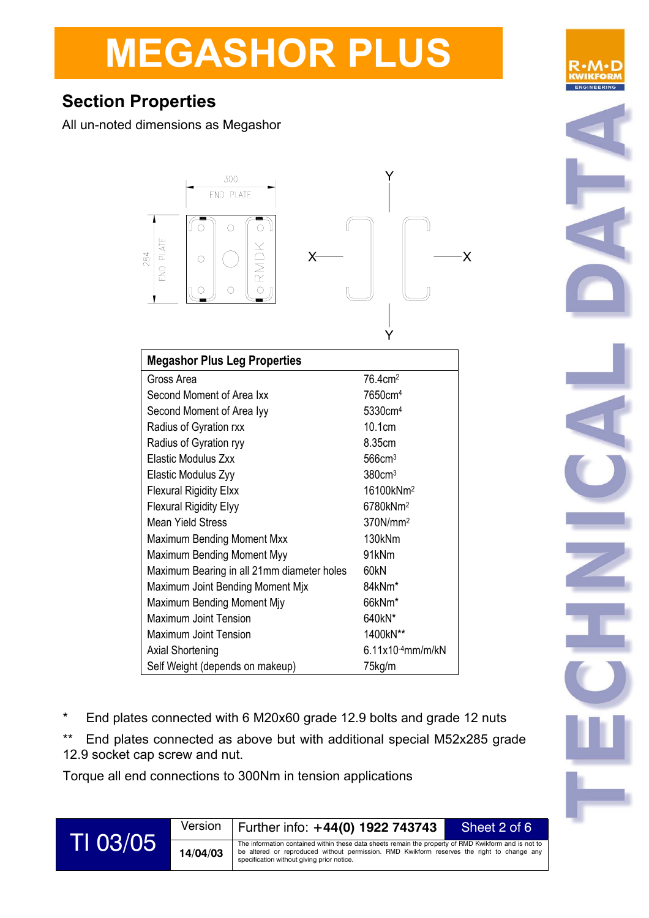# **Section Properties**

All un-noted dimensions as Megashor



| <b>Megashor Plus Leg Properties</b>        |                        |  |  |
|--------------------------------------------|------------------------|--|--|
| Gross Area                                 | 76.4cm <sup>2</sup>    |  |  |
| Second Moment of Area Ixx                  | 7650cm <sup>4</sup>    |  |  |
| Second Moment of Area Iyy                  | 5330cm <sup>4</sup>    |  |  |
| Radius of Gyration rxx                     | 10.1cm                 |  |  |
| Radius of Gyration ryy                     | 8.35cm                 |  |  |
| Elastic Modulus Zxx                        | $566$ cm <sup>3</sup>  |  |  |
| Elastic Modulus Zyy                        | 380cm <sup>3</sup>     |  |  |
| <b>Flexural Rigidity Elxx</b>              | 16100kNm <sup>2</sup>  |  |  |
| <b>Flexural Rigidity Elyy</b>              | 6780kNm <sup>2</sup>   |  |  |
| Mean Yield Stress                          | 370N/mm <sup>2</sup>   |  |  |
| <b>Maximum Bending Moment Mxx</b>          | 130kNm                 |  |  |
| Maximum Bending Moment Myy                 | 91kNm                  |  |  |
| Maximum Bearing in all 21mm diameter holes | 60kN                   |  |  |
| Maximum Joint Bending Moment Mjx           | 84kNm <sup>*</sup>     |  |  |
| Maximum Bending Moment Miy                 | 66kNm*                 |  |  |
| Maximum Joint Tension                      | 640kN*                 |  |  |
| Maximum Joint Tension                      | 1400kN**               |  |  |
| <b>Axial Shortening</b>                    | $6.11x10^{-4}$ mm/m/kN |  |  |
| Self Weight (depends on makeup)            | 75kg/m                 |  |  |

- \* End plates connected with 6 M20x60 grade 12.9 bolts and grade 12 nuts
- \*\* End plates connected as above but with additional special M52x285 grade 12.9 socket cap screw and nut.

Torque all end connections to 300Nm in tension applications



Version Further info: **+44(0) 1922 743743** Sheet 2 of 6

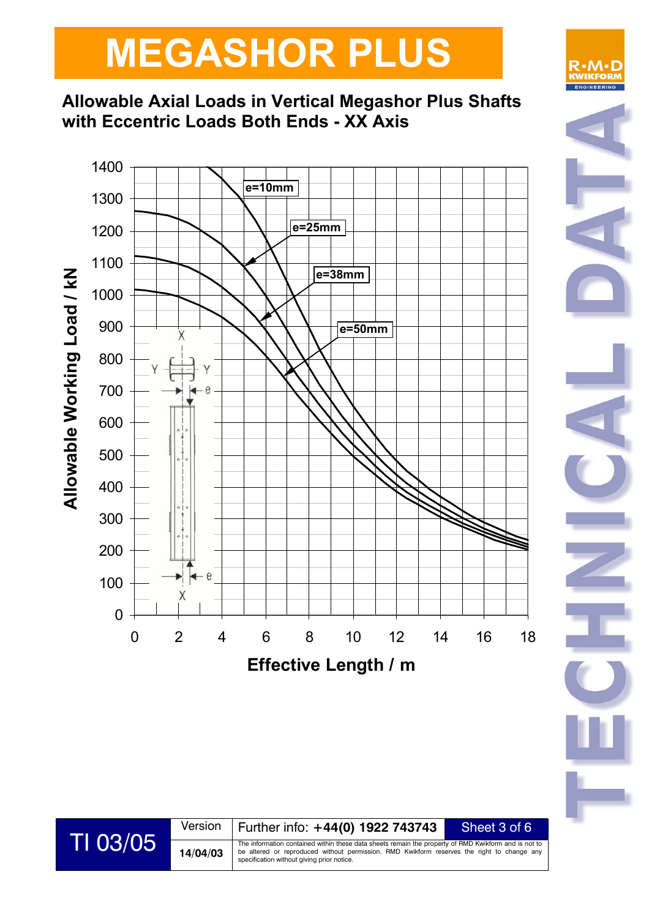## **Allowable Axial Loads in Vertical Megashor Plus Shafts with Eccentric Loads Both Ends - XX Axis**



# R∙∧

Version Further info: **+44(0) 1922 743743** Sheet 3 of 6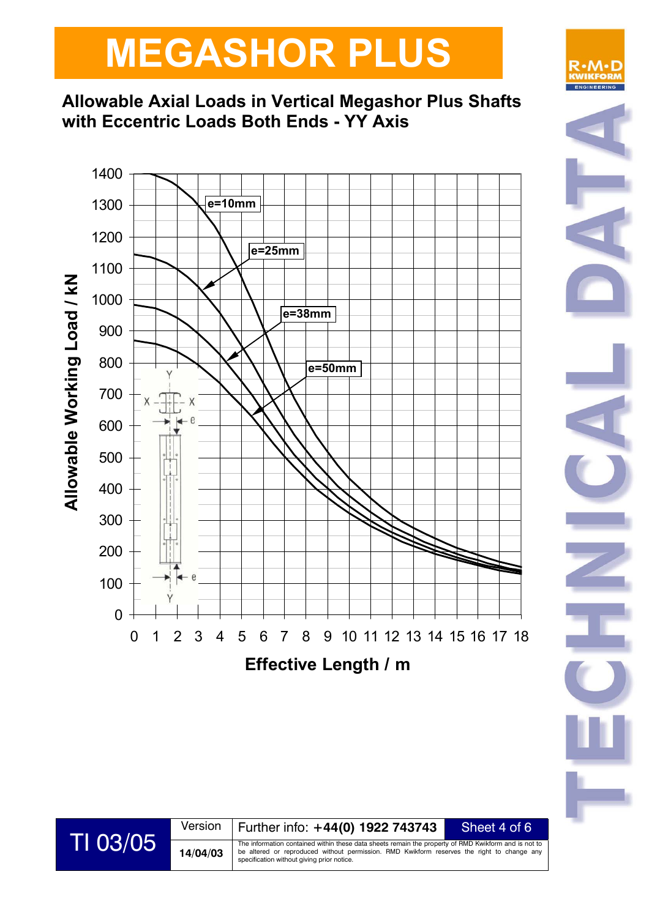## **Allowable Axial Loads in Vertical Megashor Plus Shafts with Eccentric Loads Both Ends - YY Axis**





R∙M

Version Further info: **+44(0) 1922 743743** Sheet 4 of 6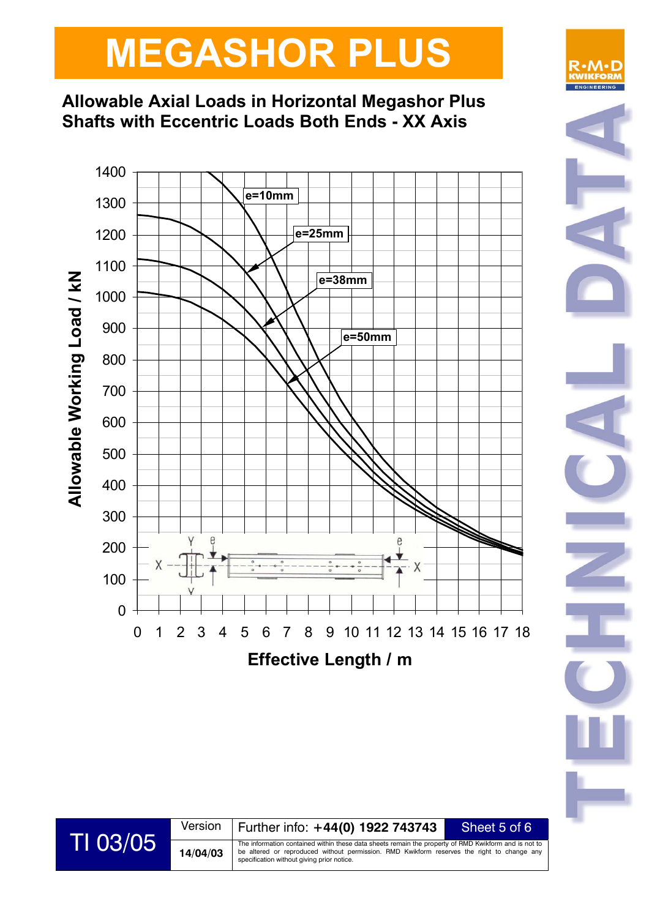## **Allowable Axial Loads in Horizontal Megashor Plus Shafts with Eccentric Loads Both Ends - XX Axis**



R∙M

Version Further info: **+44(0) 1922 743743** Sheet 5 of 6